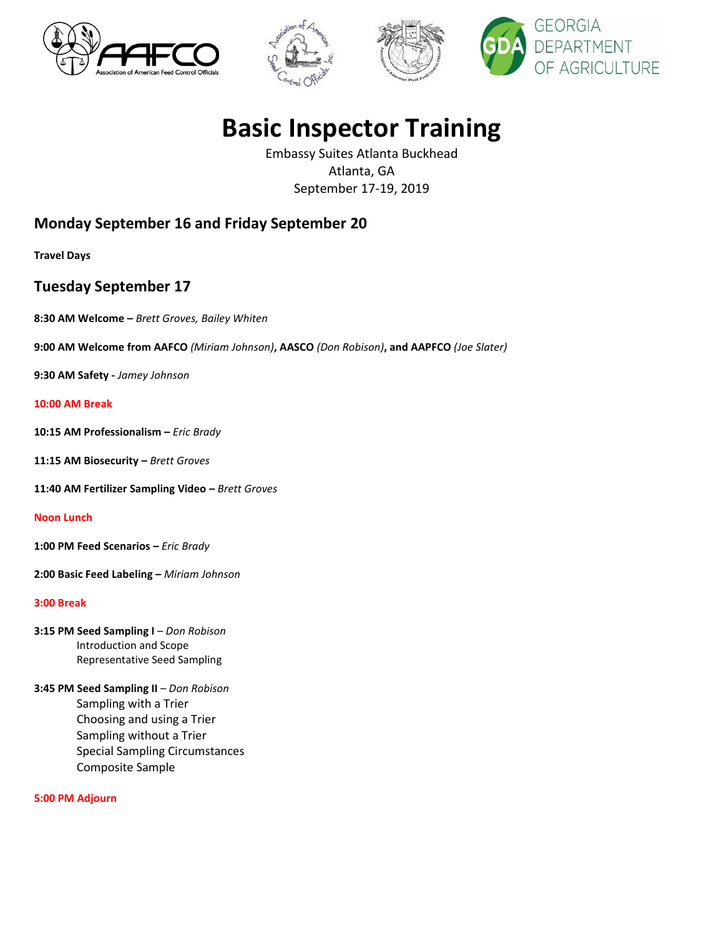







# **Basic Inspector Training**

Embassy Suites Atlanta Buckhead Atlanta, GA September 17-19, 2019

# **Monday September 16 and Friday September 20**

**Travel Days**

## **Tuesday September 17**

**8:30 AM Welcome –** *Brett Groves, Bailey Whiten*

**9:00 AM Welcome from AAFCO** *(Miriam Johnson)***, AASCO** *(Don Robison)***, and AAPFCO** *(Joe Slater)*

**9:30 AM Safety -** *Jamey Johnson*

#### **10:00 AM Break**

**10:15 AM Professionalism –** *Eric Brady*

**11:15 AM Biosecurity –** *Brett Groves*

**11:40 AM Fertilizer Sampling Video –** *Brett Groves*

#### **Noon Lunch**

**1:00 PM Feed Scenarios –** *Eric Brady*

**2:00 Basic Feed Labeling –** *Miriam Johnson*

#### **3:00 Break**

- **3:15 PM Seed Sampling I** *Don Robison*  Introduction and Scope Representative Seed Sampling
- **3:45 PM Seed Sampling II**  *Don Robison*  Sampling with a Trier Choosing and using a Trier Sampling without a Trier Special Sampling Circumstances Composite Sample

**5:00 PM Adjourn**